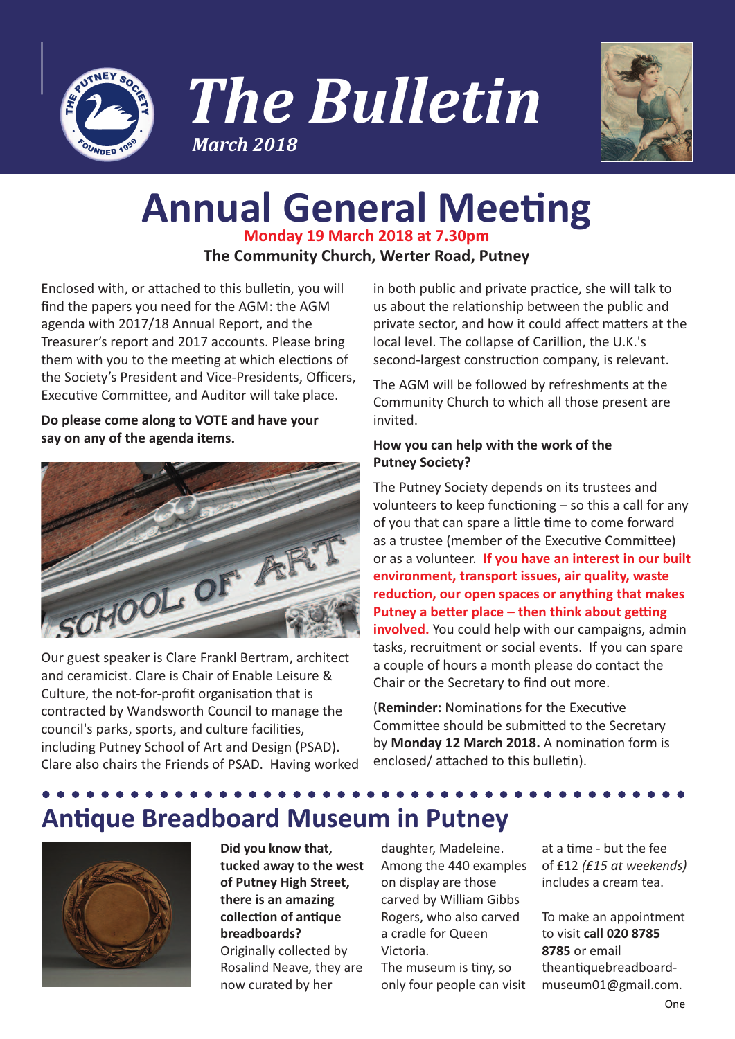





## **Annual General Meeting Monday 19 March 2018 at 7.30pm**

**The Community Church, Werter Road, Putney**

Enclosed with, or attached to this bulletin, you will find the papers you need for the AGM: the AGM agenda with 2017/18 Annual Report, and the Treasurer's report and 2017 accounts. Please bring them with you to the meeting at which elections of the Society's President and Vice-Presidents, Officers, Executive Committee, and Auditor will take place.

**Do please come along to VOTE and have your say on any of the agenda items.**



Our guest speaker is Clare Frankl Bertram, architect and ceramicist. Clare is Chair of Enable Leisure & Culture, the not-for-profit organisation that is contracted by Wandsworth Council to manage the council's parks, sports, and culture facilities, including Putney School of Art and Design (PSAD). Clare also chairs the Friends of PSAD. Having worked in both public and private practice, she will talk to us about the relationship between the public and private sector, and how it could affect matters at the local level. The collapse of Carillion, the U.K.'s second-largest construction company, is relevant.

The AGM will be followed by refreshments at the Community Church to which all those present are invited.

### **How you can help with the work of the Putney Society?**

The Putney Society depends on its trustees and volunteers to keep functioning – so this a call for any of you that can spare a little time to come forward as a trustee (member of the Executive Committee) or as a volunteer. **If you have an interest in our built environment, transport issues, air quality, waste reduction, our open spaces or anything that makes Putney a better place – then think about getting involved.** You could help with our campaigns, admin tasks, recruitment or social events. If you can spare a couple of hours a month please do contact the Chair or the Secretary to find out more.

(**Reminder:** Nominations for the Executive Committee should be submitted to the Secretary by **Monday 12 March 2018.** A nomination form is enclosed/ attached to this bulletin).

## **Antique Breadboard Museum in Putney**



**Did you know that, tucked away to the west of Putney High Street, there is an amazing collection of antique breadboards?** Originally collected by

Rosalind Neave, they are now curated by her

daughter, Madeleine. Among the 440 examples on display are those carved by William Gibbs Rogers, who also carved a cradle for Queen Victoria.

The museum is tiny, so only four people can visit at a time - but the fee of £12 *(£15 at weekends)* includes a cream tea.

To make an appointment to visit **call 020 8785 8785** or email theantiquebreadboardmuseum01@gmail.com.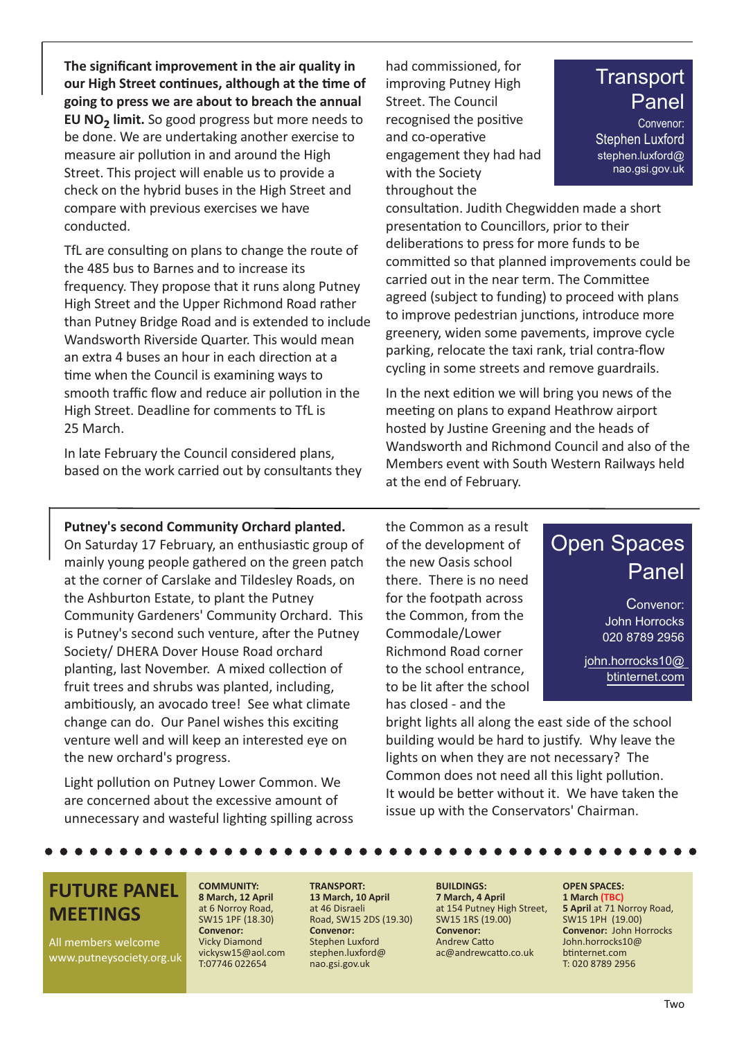**The significant improvement in the air quality in our High Street continues, although at the time of going to press we are about to breach the annual EU NO<sub>2</sub> limit.** So good progress but more needs to be done. We are undertaking another exercise to measure air pollution in and around the High Street. This project will enable us to provide a check on the hybrid buses in the High Street and compare with previous exercises we have conducted.

TfL are consulting on plans to change the route of the 485 bus to Barnes and to increase its frequency. They propose that it runs along Putney High Street and the Upper Richmond Road rather than Putney Bridge Road and is extended to include Wandsworth Riverside Quarter. This would mean an extra 4 buses an hour in each direction at a time when the Council is examining ways to smooth traffic flow and reduce air pollution in the High Street. Deadline for comments to TfL is 25 March.

In late February the Council considered plans, based on the work carried out by consultants they had commissioned, for improving Putney High Street. The Council recognised the positive and co-operative engagement they had had with the Society throughout the

## **Transport** Panel

Convenor: Stephen Luxford stephen.luxford@ nao.gsi.gov.uk

consultation. Judith Chegwidden made a short presentation to Councillors, prior to their deliberations to press for more funds to be committed so that planned improvements could be carried out in the near term. The Committee agreed (subject to funding) to proceed with plans to improve pedestrian junctions, introduce more greenery, widen some pavements, improve cycle parking, relocate the taxi rank, trial contra-flow cycling in some streets and remove guardrails.

In the next edition we will bring you news of the meeting on plans to expand Heathrow airport hosted by Justine Greening and the heads of Wandsworth and Richmond Council and also of the Members event with South Western Railways held at the end of February.

#### **Putney's second Community Orchard planted.**

On Saturday 17 February, an enthusiastic group of mainly young people gathered on the green patch at the corner of Carslake and Tildesley Roads, on the Ashburton Estate, to plant the Putney Community Gardeners' Community Orchard. This is Putney's second such venture, after the Putney Society/ DHERA Dover House Road orchard planting, last November. A mixed collection of fruit trees and shrubs was planted, including, ambitiously, an avocado tree! See what climate change can do. Our Panel wishes this exciting venture well and will keep an interested eye on the new orchard's progress.

Light pollution on Putney Lower Common. We are concerned about the excessive amount of unnecessary and wasteful lighting spilling across the Common as a result of the development of the new Oasis school there. There is no need for the footpath across the Common, from the Commodale/Lower Richmond Road corner to the school entrance, to be lit after the school has closed - and the

## Open Spaces Panel

Convenor: John Horrocks 020 8789 2956

john.horrocks10@ btinternet.com

bright lights all along the east side of the school building would be hard to justify. Why leave the lights on when they are not necessary? The Common does not need all this light pollution. It would be better without it. We have taken the issue up with the Conservators' Chairman.

### **FUTURE PANEL MEETINGS**

All members welcome www.putneysociety.org.uk

#### **COMMUNITY: 8 March, 12 April** at 6 Norroy Road, SW15 1PF (18.30) **Convenor:**

Vicky Diamond vickysw15@aol.com T:07746 022654

**TRANSPORT: 13 March, 10 April** at 46 Disraeli Road, SW15 2DS (19.30) **Convenor:** Stephen Luxford stephen.luxford@ nao.gsi.gov.uk

**BUILDINGS: 7 March, 4 April** at 154 Putney High Street, SW15 1RS (19.00) **Convenor:** Andrew Catto ac@andrewcatto.co.uk

**OPEN SPACES: 1 March (TBC) 5 April** at 71 Norroy Road, SW15 1PH (19.00) **Convenor:** John Horrocks John.horrocks10@ btinternet.com T: 020 8789 2956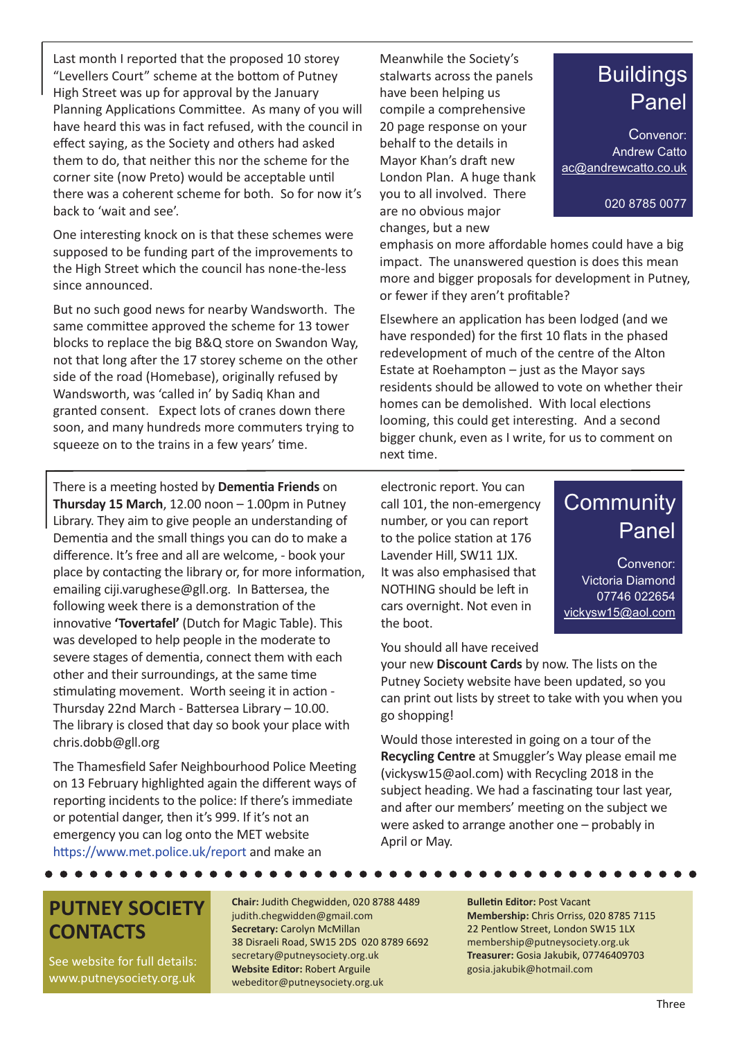Last month I reported that the proposed 10 storey "Levellers Court" scheme at the bottom of Putney High Street was up for approval by the January Planning Applications Committee. As many of you will have heard this was in fact refused, with the council in effect saying, as the Society and others had asked them to do, that neither this nor the scheme for the corner site (now Preto) would be acceptable until there was a coherent scheme for both. So for now it's back to 'wait and see'.

One interesting knock on is that these schemes were supposed to be funding part of the improvements to the High Street which the council has none-the-less since announced.

But no such good news for nearby Wandsworth. The same committee approved the scheme for 13 tower blocks to replace the big B&Q store on Swandon Way, not that long after the 17 storey scheme on the other side of the road (Homebase), originally refused by Wandsworth, was 'called in' by Sadiq Khan and granted consent. Expect lots of cranes down there soon, and many hundreds more commuters trying to squeeze on to the trains in a few years' time.

There is a meeting hosted by **Dementia Friends** on **Thursday 15 March**, 12.00 noon – 1.00pm in Putney Library. They aim to give people an understanding of Dementia and the small things you can do to make a difference. It's free and all are welcome, - book your place by contacting the library or, for more information, emailing ciji.varughese@gll.org. In Battersea, the following week there is a demonstration of the innovative **'Tovertafel'** (Dutch for Magic Table). This was developed to help people in the moderate to severe stages of dementia, connect them with each other and their surroundings, at the same time stimulating movement. Worth seeing it in action - Thursday 22nd March - Battersea Library – 10.00. The library is closed that day so book your place with chris.dobb@gll.org

The Thamesfield Safer Neighbourhood Police Meeting on 13 February highlighted again the different ways of reporting incidents to the police: If there's immediate or potential danger, then it's 999. If it's not an emergency you can log onto the MET website https://www.met.police.uk/report and make an

Meanwhile the Society's stalwarts across the panels have been helping us compile a comprehensive 20 page response on your behalf to the details in Mayor Khan's draft new London Plan. A huge thank you to all involved. There are no obvious major changes, but a new

emphasis on more affordable homes could have a big impact. The unanswered question is does this mean more and bigger proposals for development in Putney, or fewer if they aren't profitable?

Elsewhere an application has been lodged (and we have responded) for the first 10 flats in the phased redevelopment of much of the centre of the Alton Estate at Roehampton  $-$  just as the Mayor says residents should be allowed to vote on whether their homes can be demolished. With local elections looming, this could get interesting. And a second bigger chunk, even as I write, for us to comment on next time.

electronic report. You can call 101, the non-emergency number, or you can report to the police station at 176 Lavender Hill, SW11 1JX. It was also emphasised that NOTHING should be left in cars overnight. Not even in the boot.

You should all have received

your new **Discount Cards** by now. The lists on the Putney Society website have been updated, so you can print out lists by street to take with you when you go shopping!

Would those interested in going on a tour of the **Recycling Centre** at Smuggler's Way please email me (vickysw15@aol.com) with Recycling 2018 in the subject heading. We had a fascinating tour last year, and after our members' meeting on the subject we were asked to arrange another one – probably in April or May.

### **PUTNEY SOCIETY CONTACTS**

. . . . . . .

See website for full details: www.putneysociety.org.uk

**Chair:** Judith Chegwidden, 020 8788 4489 judith.chegwidden@gmail.com **Secretary:** Carolyn McMillan 38 Disraeli Road, SW15 2DS 020 8789 6692 secretary@putneysociety.org.uk **Website Editor:** Robert Arguile webeditor@putneysociety.org.uk

#### **Bulletin Editor:** Post Vacant

**Membership:** Chris Orriss, 020 8785 7115 22 Pentlow Street, London SW15 1LX membership@putneysociety.org.uk **Treasurer:** Gosia Jakubik, 07746409703 gosia.jakubik@hotmail.com

## **Community** Panel

Convenor: Victoria Diamond 07746 022654 vickysw15@aol.com

## **Buildings** Panel

020 8785 0077

Convenor: Andrew Catto ac@andrewcatto.co.uk